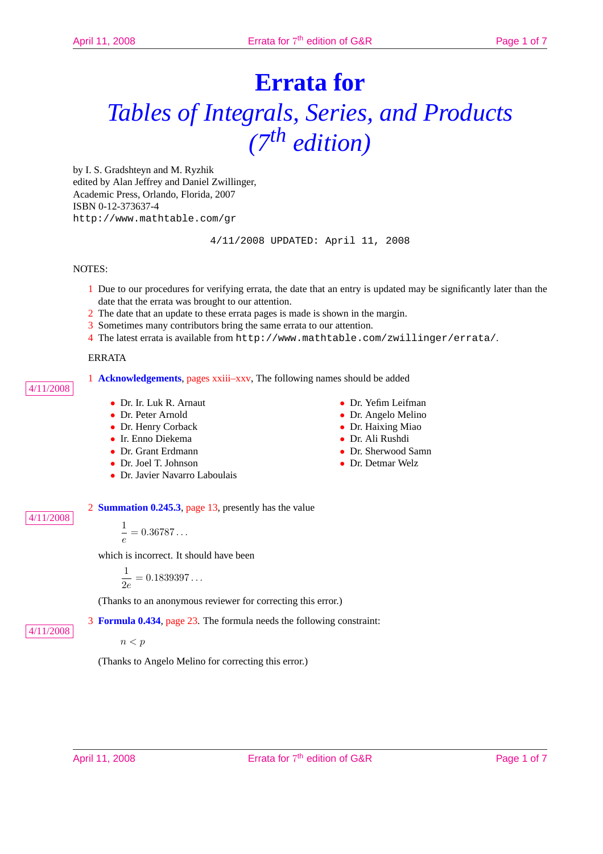# **Errata for** *Tables of Integrals, Series, and Products (7th edition)*

by I. S. Gradshteyn and M. Ryzhik edited by Alan Jeffrey and Daniel Zwillinger, Academic Press, Orlando, Florida, 2007 ISBN 0-12-373637-4 http://www.mathtable.com/gr

4/11/2008 UPDATED: April 11, 2008

## NOTES:

4/11/2008

4/11/2008

4/11/2008

- 1 Due to our procedures for verifying errata, the date that an entry is updated may be significantly later than the date that the errata was brought to our attention.
- 2 The date that an update to these errata pages is made is shown in the margin.
- 3 Sometimes many contributors bring the same errata to our attention.
- 4 The latest errata is available from http://www.mathtable.com/zwillinger/errata/.

#### ERRATA

1 **Acknowledgements**, pages xxiii–xxv, The following names should be added

- Dr. Ir. Luk R. Arnaut
- Dr. Peter Arnold
- Dr. Henry Corback
- Ir. Enno Diekema
- Dr. Grant Erdmann
- Dr. Joel T. Johnson
- Dr. Javier Navarro Laboulais
- Dr. Yefim Leifman
- Dr. Angelo Melino
- Dr. Haixing Miao
- Dr. Ali Rushdi
- Dr. Sherwood Samn
- Dr. Detmar Welz

2 **Summation 0.245.3**, page 13, presently has the value

1  $\frac{1}{e} = 0.36787...$ 

which is incorrect. It should have been

$$
\frac{1}{2e}=0.1839397\ldots
$$

(Thanks to an anonymous reviewer for correcting this error.)

3 **Formula 0.434**, page 23. The formula needs the following constraint:

 $n < p$ 

(Thanks to Angelo Melino for correcting this error.)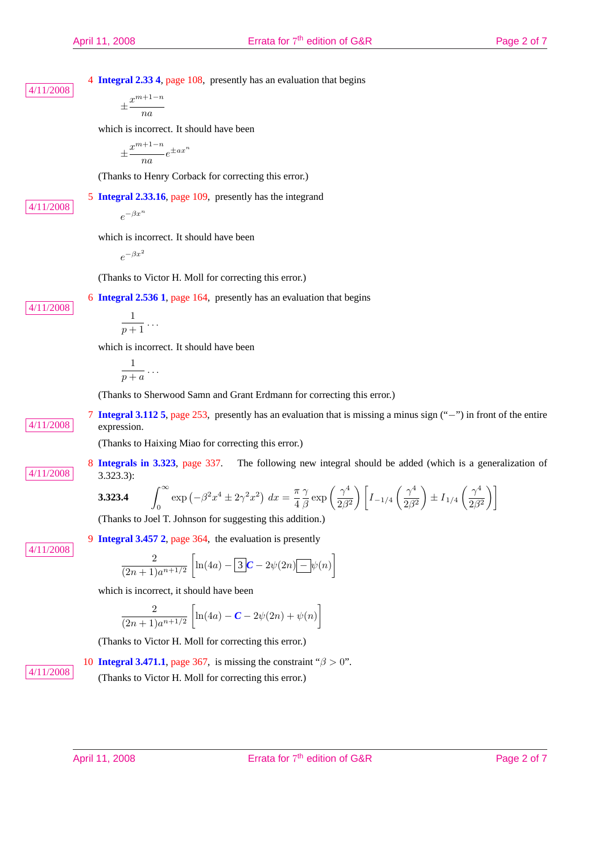4 **Integral 2.33 4**, page 108, presently has an evaluation that begins 4/11/2008

$$
\pm \frac{x^{m+1-n}}{na}
$$

which is incorrect. It should have been

$$
\pm \frac{x^{m+1-n}}{na}e^{\pm ax^n}
$$

(Thanks to Henry Corback for correcting this error.)

5 **Integral 2.33.16**, page 109, presently has the integrand

4/11/2008

4/11/2008

which is incorrect. It should have been

 $e^{-\beta x^2}$ 

 $e^{-\beta x^n}$ 

(Thanks to Victor H. Moll for correcting this error.)

6 **Integral 2.536 1**, page 164, presently has an evaluation that begins

$$
\frac{1}{p+1}\ldots
$$

which is incorrect. It should have been

$$
\frac{1}{p+a}\ldots
$$

(Thanks to Sherwood Samn and Grant Erdmann for correcting this error.)

7 **Integral 3.112 5**, page 253, presently has an evaluation that is missing a minus sign ("−") in front of the entire 4/11/2008 expression.

(Thanks to Haixing Miao for correcting this error.)

8 **Integrals in 3.323**, page 337. The following new integral should be added (which is a generalization of  $4/11/2008$  3.323.3):  $\frac{1}{2}$  $\overline{a}$  $\mathbf{r}$  $\overline{a}$  $\frac{1}{2}$ 

$$
\textbf{3.323.4} \qquad \int_0^\infty \exp\left(-\beta^2 x^4 \pm 2\gamma^2 x^2\right) \, dx = \frac{\pi}{4} \frac{\gamma}{\beta} \exp\left(\frac{\gamma^4}{2\beta^2}\right) \left[I_{-1/4}\left(\frac{\gamma^4}{2\beta^2}\right) \pm I_{1/4}\left(\frac{\gamma^4}{2\beta^2}\right)\right]
$$

(Thanks to Joel T. Johnson for suggesting this addition.)

9 **Integral 3.457 2**, page 364, the evaluation is presently

4/11/2008

$$
\frac{2}{(2n+1)a^{n+1/2}} \left[ \ln(4a) - \boxed{3}C - 2\psi(2n) - \psi(n) \right]
$$

which is incorrect, it should have been

$$
\frac{2}{(2n+1)a^{n+1/2}} \left[ \ln(4a) - C - 2\psi(2n) + \psi(n) \right]
$$

(Thanks to Victor H. Moll for correcting this error.)

10 **Integral 3.471.1**, page 367, is missing the constraint " $\beta > 0$ ".

4/11/2008 (Thanks to Victor H. Moll for correcting this error.)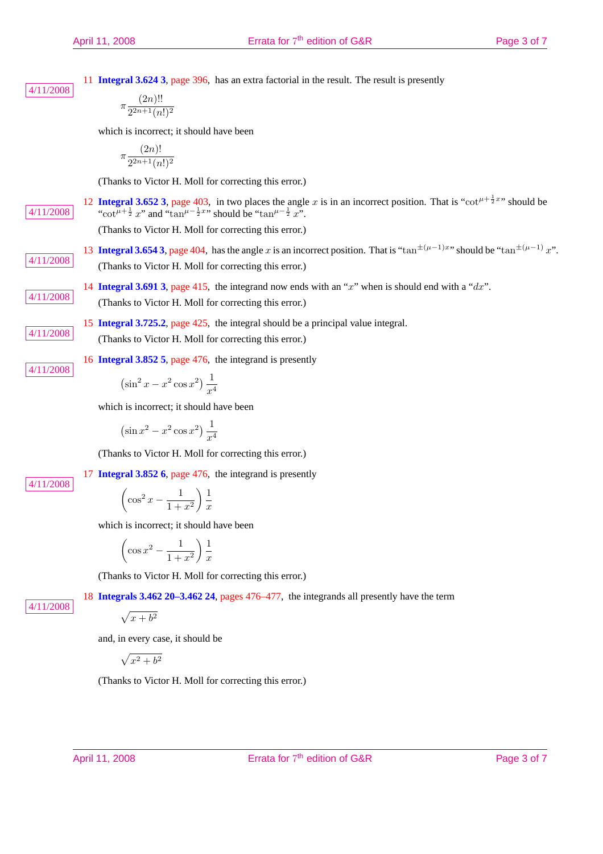11 **Integral 3.624 3**, page 396, has an extra factorial in the result. The result is presently 4/11/2008

$$
\pi \frac{(2n)!!}{2^{2n+1}(n!)^2}
$$

which is incorrect; it should have been

$$
\pi \frac{(2n)!}{2^{2n+1}(n!)^2}
$$

(Thanks to Victor H. Moll for correcting this error.)

12 **Integral 3.652 3**, page 403, in two places the angle x is in an incorrect position. That is "cot<sup> $\mu + \frac{1}{2}x$ </sup>" should be  $4/11/2008$  $\frac{1}{2}$  x" and "tan<sup> $\mu-\frac{1}{2}x$ " should be "tan $\mu-\frac{1}{2}x$ ".</sup>

(Thanks to Victor H. Moll for correcting this error.)

- 13 **Integral 3.654 3**, page 404, has the angle x is an incorrect position. That is "tan<sup> $\pm(\mu-1)x$ </sup>" should be "tan<sup> $\pm(\mu-1)x$ </sup>". 4/11/2008 (Thanks to Victor H. Moll for correcting this error.)
- 14 **Integral 3.691 3**, page 415, the integrand now ends with an " $x$ " when is should end with a " $dx$ ". 4/11/2008 (Thanks to Victor H. Moll for correcting this error.)
	- 15 **Integral 3.725.2**, page 425, the integral should be a principal value integral.

4/11/2008 (Thanks to Victor H. Moll for correcting this error.)

16 **Integral 3.852 5**, page 476, the integrand is presently 4/11/2008

$$
\left(\sin^2 x - x^2 \cos x^2\right) \frac{1}{x^4}
$$

which is incorrect; it should have been

$$
\left(\sin x^2 - x^2 \cos x^2\right) \frac{1}{x^4}
$$

(Thanks to Victor H. Moll for correcting this error.)

17 **Integral 3.852 6**, page 476, the integrand is presently

4/11/2008

4/11/2008

 $\overline{a}$  $\cos^2 x - \frac{1}{1}$  $1 + x^2$  $\setminus$  1  $\boldsymbol{x}$ 

which is incorrect; it should have been

$$
\left(\cos x^2 - \frac{1}{1+x^2}\right) \frac{1}{x}
$$

(Thanks to Victor H. Moll for correcting this error.)

18 **Integrals 3.462 20–3.462 24**, pages 476–477, the integrands all presently have the term

$$
\sqrt{x+b^2}
$$

and, in every case, it should be

p  $x^2 + b^2$ 

(Thanks to Victor H. Moll for correcting this error.)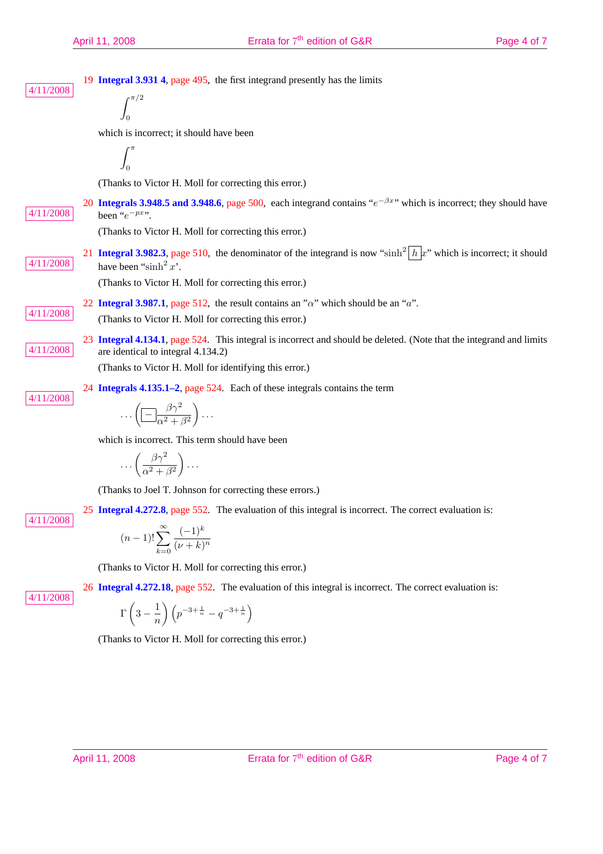| 4/11/2008 | 19 Integral 3.931 4, page 495, the first integrand presently has the limits<br>$\int$ r $\pi/2$                                                                                |  |
|-----------|--------------------------------------------------------------------------------------------------------------------------------------------------------------------------------|--|
|           | which is incorrect; it should have been                                                                                                                                        |  |
|           |                                                                                                                                                                                |  |
|           |                                                                                                                                                                                |  |
|           | (Thanks to Victor H. Moll for correcting this error.)                                                                                                                          |  |
| 4/11/2008 | 20 Integrals 3.948.5 and 3.948.6, page 500, each integrand contains " $e^{-\beta x}$ " which is incorrect; they should have<br>been " $e^{-px}$ ".                             |  |
|           | (Thanks to Victor H. Moll for correcting this error.)                                                                                                                          |  |
| 4/11/2008 | 21 <b>Integral 3.982.3</b> , page 510, the denominator of the integrand is now "sinh <sup>2</sup> $h x$ " which is incorrect; it should<br>have been "sinh <sup>2</sup> $x$ ". |  |
|           | (Thanks to Victor H. Moll for correcting this error.)                                                                                                                          |  |
| 4/11/2008 | 22 Integral 3.987.1, page 512, the result contains an " $\alpha$ " which should be an "a".                                                                                     |  |
|           | (Thanks to Victor H. Moll for correcting this error.)                                                                                                                          |  |
| 4/11/2008 | 23 Integral 4.134.1, page 524. This integral is incorrect and should be deleted. (Note that the integrand and limits<br>are identical to integral 4.134.2)                     |  |
|           | (Thanks to Victor H. Moll for identifying this error.)                                                                                                                         |  |
| 4/11/2008 | 24 Integrals 4.135.1–2, page 524. Each of these integrals contains the term                                                                                                    |  |
|           | $\ldots\left(\boxed{-\frac{\beta\gamma^2}{\alpha^2+\beta^2}}\right)\ldots$                                                                                                     |  |
|           | which is incorrect. This term should have been                                                                                                                                 |  |
|           | $\ldots\left(\frac{\beta\gamma^2}{\alpha^2+\beta^2}\right)\ldots$                                                                                                              |  |
| 4/11/2008 | (Thanks to Joel T. Johnson for correcting these errors.)                                                                                                                       |  |
|           | 25 Integral 4.272.8, page 552. The evaluation of this integral is incorrect. The correct evaluation is:                                                                        |  |
|           | $(n-1)! \sum_{k=0}^{\infty} \frac{(-1)^k}{(\nu+k)^n}$                                                                                                                          |  |
|           | (Thanks to Victor H. Moll for correcting this error.)                                                                                                                          |  |
|           | 26 Integral 4.272.18, page 552. The evaluation of this integral is incorrect. The correct evaluation is:                                                                       |  |
| 4/11/2008 | $\Gamma\left(3-\frac{1}{n}\right)\left(p^{-3+\frac{1}{n}}-q^{-3+\frac{1}{n}}\right)$                                                                                           |  |
|           | (Thanks to Victor H. Moll for correcting this error.)                                                                                                                          |  |
|           |                                                                                                                                                                                |  |
|           |                                                                                                                                                                                |  |
|           |                                                                                                                                                                                |  |
|           | Errata for 7 <sup>th</sup> edition of G&R<br>April 11, 2008<br>Page 4 of 7                                                                                                     |  |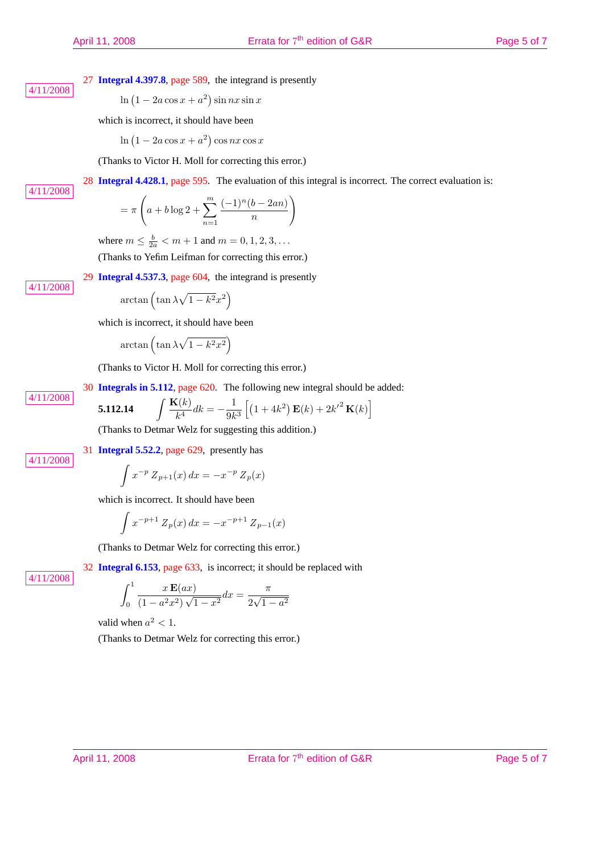28 **Integral 4.428.1**, page 595. The evaluation of this integral is incorrect. The correct evaluation is:

27 **Integral 4.397.8**, page 589, the integrand is presently

 $\ln (1 - 2a \cos x + a^2)$  $\sin nx \sin x$ 

which is incorrect, it should have been

$$
\ln\left(1-2a\cos x + a^2\right)\cos nx \cos x
$$

(Thanks to Victor H. Moll for correcting this error.)

4/11/2008

4/11/2008

4/11/2008

$$
= \pi \left( a + b \log 2 + \sum_{n=1}^{m} \frac{(-1)^n (b - 2an)}{n} \right)
$$

where  $m \le \frac{b}{2a} < m + 1$  and  $m = 0, 1, 2, 3, ...$ (Thanks to Yefim Leifman for correcting this error.)

29 **Integral 4.537.3**, page 604, the integrand is presently

$$
\arctan\left(\tan\lambda\sqrt{1-k^2}x^2\right)
$$

which is incorrect, it should have been

$$
\arctan\left(\tan\lambda\sqrt{1-k^2x^2}\right)
$$

(Thanks to Victor H. Moll for correcting this error.)

30 **Integrals in 5.112**, page 620. The following new integral should be added:

5.112.14 
$$
\int \frac{\mathbf{K}(k)}{k^4} dk = -\frac{1}{9k^3} \left[ (1+4k^2) \mathbf{E}(k) + 2k'^2 \mathbf{K}(k) \right]
$$

(Thanks to Detmar Welz for suggesting this addition.)

4/11/2008

4/11/2008

$$
\int x^{-p} Z_{p+1}(x) dx = -x^{-p} Z_p(x)
$$

which is incorrect. It should have been

31 **Integral 5.52.2**, page 629, presently has

$$
\int x^{-p+1} Z_p(x) dx = -x^{-p+1} Z_{p-1}(x)
$$

(Thanks to Detmar Welz for correcting this error.)

4/11/2008

32 **Integral 6.153**, page 633, is incorrect; it should be replaced with

$$
\int_0^1 \frac{x \mathbf{E}(ax)}{(1 - a^2 x^2) \sqrt{1 - x^2}} dx = \frac{\pi}{2\sqrt{1 - a^2}}
$$

valid when  $a^2 < 1$ .

(Thanks to Detmar Welz for correcting this error.)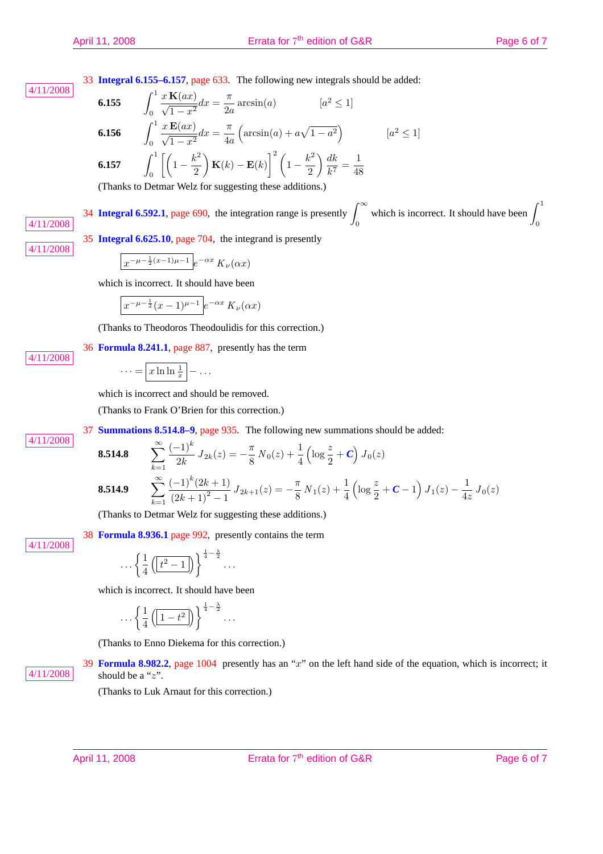33 **Integral 6.155–6.157**, page 633. The following new integrals should be added:

$$
\boxed{4/11/2008}
$$

6.155 
$$
\int_0^1 \frac{x \mathbf{K}(ax)}{\sqrt{1-x^2}} dx = \frac{\pi}{2a} \arcsin(a) \qquad [a^2 \le 1]
$$
  
6.156 
$$
\int_0^1 \frac{x \mathbf{E}(ax)}{\sqrt{1-x^2}} dx = \frac{\pi}{4a} \left( \arcsin(a) + a\sqrt{1-a^2} \right) \qquad [a^2 \le 1]
$$
  
6.157 
$$
\int_0^1 \left[ \left( 1 - \frac{k^2}{2} \right) \mathbf{K}(k) - \mathbf{E}(k) \right]^2 \left( 1 - \frac{k^2}{2} \right) \frac{dk}{k^7} = \frac{1}{48}
$$
 (Thus the Dethner Wels for suggesting these additions.)

(Thanks to Detmar Welz for suggesting these additions.)

34 **Integral 6.592.1**, page 690, the integration range is presently  $\int_{0}^{\infty}$ 0 which is incorrect. It should have been  $\int_1^1$  $\frac{J_0}{J_0}$   $\frac{J_0}{J_0}$   $\frac{J_0}{J_0}$   $\frac{J_0}{J_0}$ 

4/11/2008

4/11/2008

4/11/2008

4/11/2008

$$
\int x^{-\mu - \frac{1}{2}(x-1)\mu - 1} e^{-\alpha x} K_{\nu}(\alpha x)
$$

35 **Integral 6.625.10**, page 704, the integrand is presently

which is incorrect. It should have been

$$
\int x^{-\mu-\frac{1}{2}}(x-1)^{\mu-1}e^{-\alpha x}K_{\nu}(\alpha x)
$$

(Thanks to Theodoros Theodoulidis for this correction.)

36 **Formula 8.241.1**, page 887, presently has the term

$$
\cdots = \boxed{x \ln \ln \frac{1}{x}} - \dots
$$

which is incorrect and should be removed.

(Thanks to Frank O'Brien for this correction.)

37 **Summations 8.514.8–9**, page 935. The following new summations should be added:

**8.514.8** 
$$
\sum_{k=1}^{\infty} \frac{(-1)^k}{2k} J_{2k}(z) = -\frac{\pi}{8} N_0(z) + \frac{1}{4} \left( \log \frac{z}{2} + C \right) J_0(z)
$$
  
**8.514.9** 
$$
\sum_{k=1}^{\infty} \frac{(-1)^k (2k+1)}{(2k+1)^2 - 1} J_{2k+1}(z) = -\frac{\pi}{8} N_1(z) + \frac{1}{4} \left( \log \frac{z}{2} + C - 1 \right) J_1(z) - \frac{1}{4z} J_0(z)
$$

(Thanks to Detmar Welz for suggesting these additions.)

38 **Formula 8.936.1** page 992, presently contains the term

$$
\cdots \left\{\frac{1}{4}\left(\boxed{t^2-1}\right)\right\}^{\frac{1}{4}-\frac{\lambda}{2}}\cdots
$$

which is incorrect. It should have been

$$
\cdots \left\{\frac{1}{4}\left(\boxed{1-t^2}\right)\right\}^{\frac{1}{4}-\frac{\lambda}{2}}\cdots
$$

(Thanks to Enno Diekema for this correction.)

39 **Formula 8.982.2**, page 1004 presently has an " $x$ " on the left hand side of the equation, which is incorrect; it  $4/11/2008$  should be a "z".

(Thanks to Luk Arnaut for this correction.)